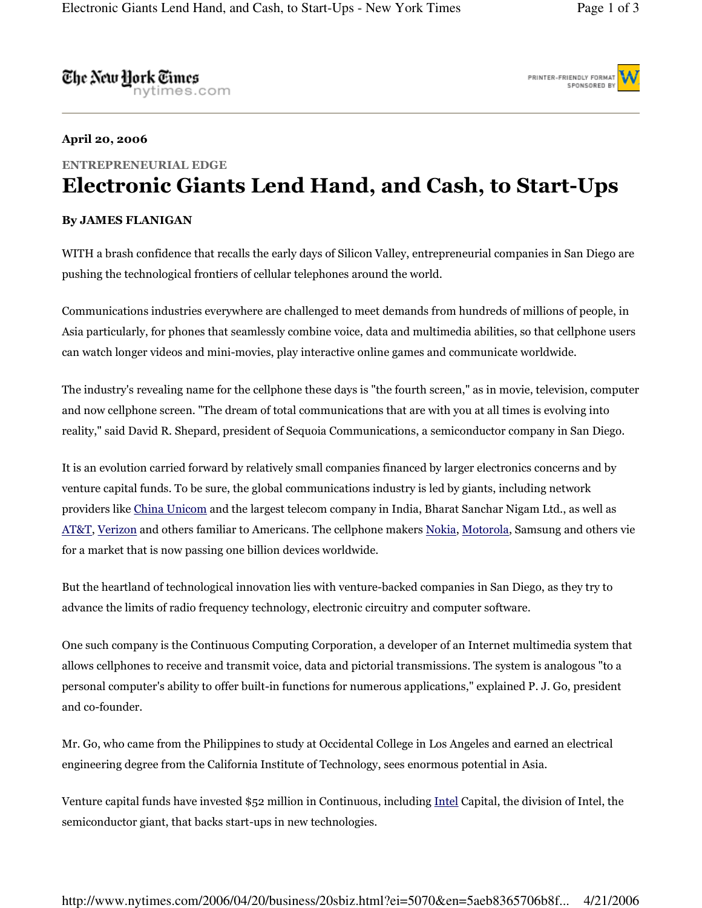Ehe New Hork Eimes<br>Aytimes.com

PRINTER-FRIENDLY FORMAT SPONSORED BY

## April 20, 2006

## **ENTREPRENEURIAL EDGE Electronic Giants Lend Hand, and Cash, to Start-Ups**

## **By JAMES FLANIGAN**

WITH a brash confidence that recalls the early days of Silicon Valley, entrepreneurial companies in San Diego are pushing the technological frontiers of cellular telephones around the world.

Communications industries everywhere are challenged to meet demands from hundreds of millions of people, in Asia particularly, for phones that seamlessly combine voice, data and multimedia abilities, so that cellphone users can watch longer videos and mini-movies, play interactive online games and communicate worldwide.

The industry's revealing name for the cellphone these days is "the fourth screen," as in movie, television, computer and now cellphone screen. "The dream of total communications that are with you at all times is evolving into reality," said David R. Shepard, president of Sequoia Communications, a semiconductor company in San Diego.

It is an evolution carried forward by relatively small companies financed by larger electronics concerns and by venture capital funds. To be sure, the global communications industry is led by giants, including network providers like China Unicom and the largest telecom company in India, Bharat Sanchar Nigam Ltd., as well as AT&T, Verizon and others familiar to Americans. The cellphone makers Nokia, Motorola, Samsung and others vie for a market that is now passing one billion devices worldwide.

But the heartland of technological innovation lies with venture-backed companies in San Diego, as they try to advance the limits of radio frequency technology, electronic circuitry and computer software.

One such company is the Continuous Computing Corporation, a developer of an Internet multimedia system that allows cellphones to receive and transmit voice, data and pictorial transmissions. The system is analogous "to a personal computer's ability to offer built-in functions for numerous applications," explained P. J. Go, president and co-founder.

Mr. Go, who came from the Philippines to study at Occidental College in Los Angeles and earned an electrical engineering degree from the California Institute of Technology, sees enormous potential in Asia.

Venture capital funds have invested \$52 million in Continuous, including Intel Capital, the division of Intel, the semiconductor giant, that backs start-ups in new technologies.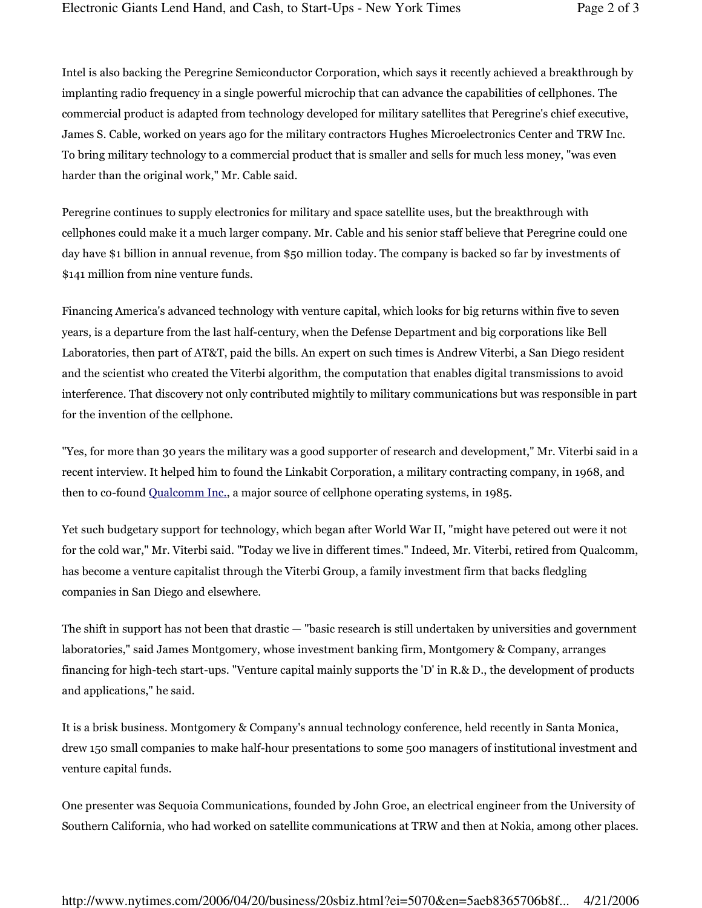Intel is also backing the Peregrine Semiconductor Corporation, which says it recently achieved a breakthrough by implanting radio frequency in a single powerful microchip that can advance the capabilities of cellphones. The commercial product is adapted from technology developed for military satellites that Peregrine's chief executive, James S. Cable, worked on years ago for the military contractors Hughes Microelectronics Center and TRW Inc. To bring military technology to a commercial product that is smaller and sells for much less money, "was even harder than the original work," Mr. Cable said.

Peregrine continues to supply electronics for military and space satellite uses, but the breakthrough with cellphones could make it a much larger company. Mr. Cable and his senior staff believe that Peregrine could one day have \$1 billion in annual revenue, from \$50 million today. The company is backed so far by investments of \$141 million from nine venture funds.

Financing America's advanced technology with venture capital, which looks for big returns within five to seven years, is a departure from the last half-century, when the Defense Department and big corporations like Bell Laboratories, then part of AT&T, paid the bills. An expert on such times is Andrew Viterbi, a San Diego resident and the scientist who created the Viterbi algorithm, the computation that enables digital transmissions to avoid interference. That discovery not only contributed mightily to military communications but was responsible in part for the invention of the cellphone.

"Yes, for more than 30 years the military was a good supporter of research and development," Mr. Viterbi said in a recent interview. It helped him to found the Linkabit Corporation, a military contracting company, in 1968, and then to co-found Qualcomm Inc., a major source of cellphone operating systems, in 1985.

Yet such budgetary support for technology, which began after World War II, "might have petered out were it not for the cold war," Mr. Viterbi said. "Today we live in different times." Indeed, Mr. Viterbi, retired from Qualcomm, has become a venture capitalist through the Viterbi Group, a family investment firm that backs fledgling companies in San Diego and elsewhere.

The shift in support has not been that drastic — "basic research is still undertaken by universities and government laboratories," said James Montgomery, whose investment banking firm, Montgomery & Company, arranges financing for high-tech start-ups. "Venture capital mainly supports the 'D' in R.& D., the development of products and applications," he said.

It is a brisk business. Montgomery & Company's annual technology conference, held recently in Santa Monica, drew 150 small companies to make half-hour presentations to some 500 managers of institutional investment and venture capital funds.

One presenter was Sequoia Communications, founded by John Groe, an electrical engineer from the University of Southern California, who had worked on satellite communications at TRW and then at Nokia, among other places.